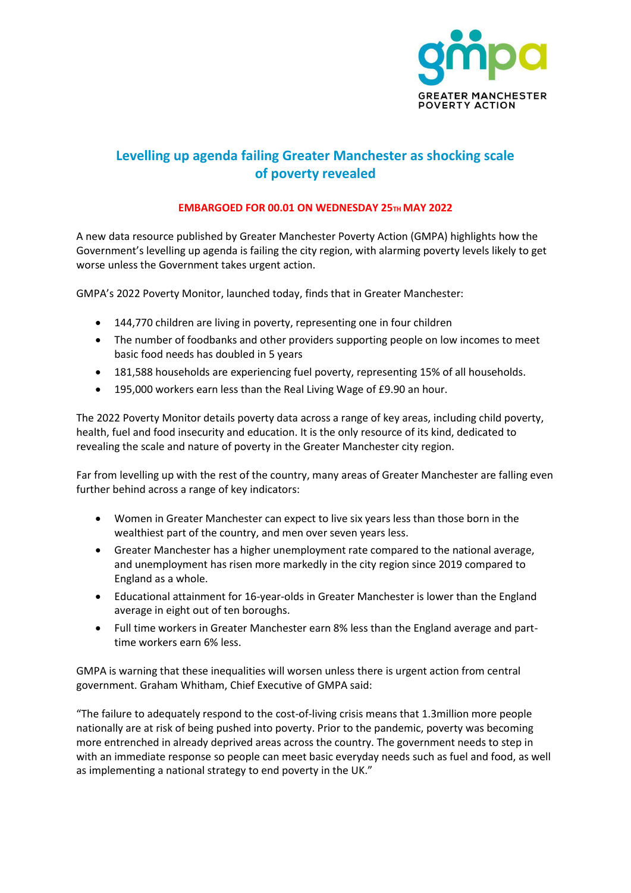

# **Levelling up agenda failing Greater Manchester as shocking scale of poverty revealed**

## **EMBARGOED FOR 00.01 ON WEDNESDAY 25TH MAY 2022**

A new data resource published by Greater Manchester Poverty Action (GMPA) highlights how the Government's levelling up agenda is failing the city region, with alarming poverty levels likely to get worse unless the Government takes urgent action.

GMPA's 2022 Poverty Monitor, launched today, finds that in Greater Manchester:

- 144,770 children are living in poverty, representing one in four children
- The number of foodbanks and other providers supporting people on low incomes to meet basic food needs has doubled in 5 years
- 181,588 households are experiencing fuel poverty, representing 15% of all households.
- 195,000 workers earn less than the Real Living Wage of £9.90 an hour.

The 2022 Poverty Monitor details poverty data across a range of key areas, including child poverty, health, fuel and food insecurity and education. It is the only resource of its kind, dedicated to revealing the scale and nature of poverty in the Greater Manchester city region.

Far from levelling up with the rest of the country, many areas of Greater Manchester are falling even further behind across a range of key indicators:

- Women in Greater Manchester can expect to live six years less than those born in the wealthiest part of the country, and men over seven years less.
- Greater Manchester has a higher unemployment rate compared to the national average, and unemployment has risen more markedly in the city region since 2019 compared to England as a whole.
- Educational attainment for 16-year-olds in Greater Manchester is lower than the England average in eight out of ten boroughs.
- Full time workers in Greater Manchester earn 8% less than the England average and parttime workers earn 6% less.

GMPA is warning that these inequalities will worsen unless there is urgent action from central government. Graham Whitham, Chief Executive of GMPA said:

"The failure to adequately respond to the cost-of-living crisis means that 1.3million more people nationally are at risk of being pushed into poverty. Prior to the pandemic, poverty was becoming more entrenched in already deprived areas across the country. The government needs to step in with an immediate response so people can meet basic everyday needs such as fuel and food, as well as implementing a national strategy to end poverty in the UK."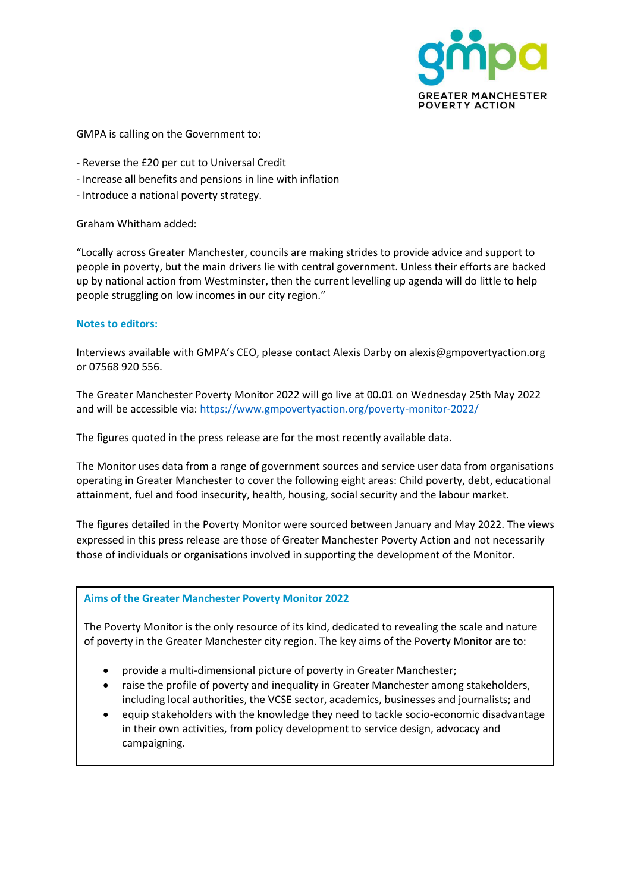

GMPA is calling on the Government to:

- Reverse the £20 per cut to Universal Credit
- Increase all benefits and pensions in line with inflation
- Introduce a national poverty strategy.

Graham Whitham added:

"Locally across Greater Manchester, councils are making strides to provide advice and support to people in poverty, but the main drivers lie with central government. Unless their efforts are backed up by national action from Westminster, then the current levelling up agenda will do little to help people struggling on low incomes in our city region."

#### **Notes to editors:**

Interviews available with GMPA's CEO, please contact Alexis Darby on alexis@gmpovertyaction.org or 07568 920 556.

The Greater Manchester Poverty Monitor 2022 will go live at 00.01 on Wednesday 25th May 2022 and will be accessible via: https://www.gmpovertyaction.org/poverty-monitor-2022/

The figures quoted in the press release are for the most recently available data.

The Monitor uses data from a range of government sources and service user data from organisations operating in Greater Manchester to cover the following eight areas: Child poverty, debt, educational attainment, fuel and food insecurity, health, housing, social security and the labour market.

The figures detailed in the Poverty Monitor were sourced between January and May 2022. The views expressed in this press release are those of Greater Manchester Poverty Action and not necessarily those of individuals or organisations involved in supporting the development of the Monitor.

### **Aims of the Greater Manchester Poverty Monitor 2022**

The Poverty Monitor is the only resource of its kind, dedicated to revealing the scale and nature of poverty in the Greater Manchester city region. The key aims of the Poverty Monitor are to:

- provide a multi-dimensional picture of poverty in Greater Manchester;
- raise the profile of poverty and inequality in Greater Manchester among stakeholders, including local authorities, the VCSE sector, academics, businesses and journalists; and
- equip stakeholders with the knowledge they need to tackle socio-economic disadvantage in their own activities, from policy development to service design, advocacy and campaigning.